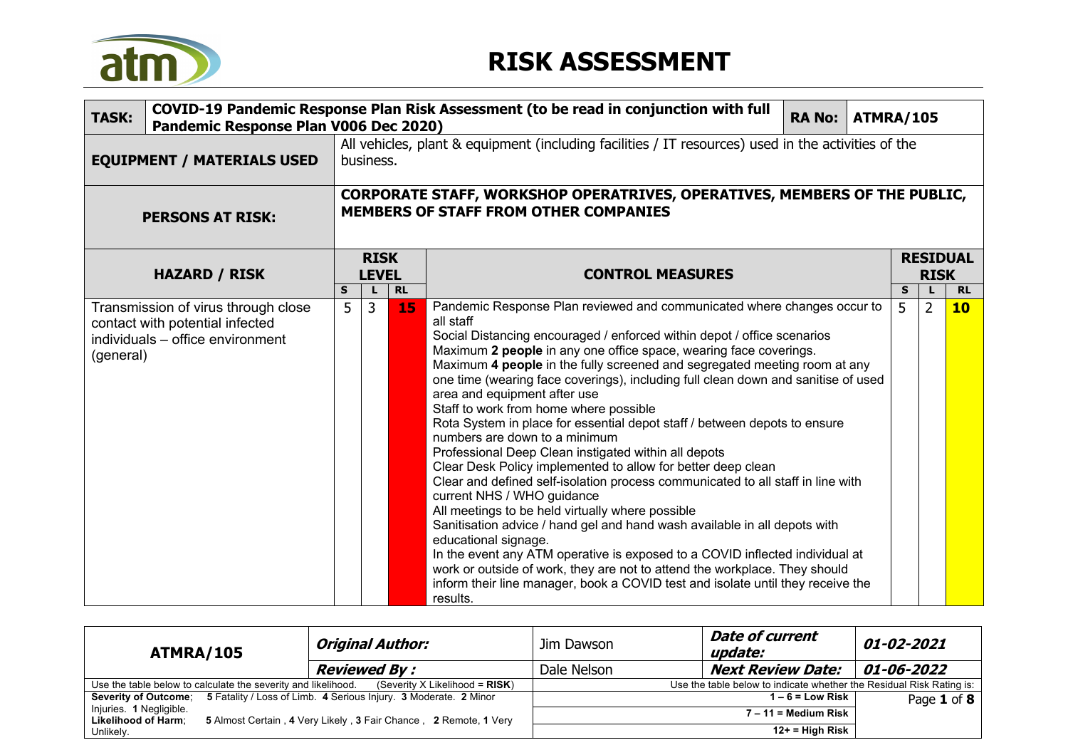

| <b>TASK:</b>                                                                                                            | COVID-19 Pandemic Response Plan Risk Assessment (to be read in conjunction with full<br><b>RA No:</b><br>ATMRA/105<br>Pandemic Response Plan V006 Dec 2020) |                                                                                                                  |                 |                                                                                                                                                                                                                                                                                                                                                                                                                                                                                                                                                                                                                                                                                                                                                                                                                                                                                                                                                                                                                                                                                                                                                                                                                                                               |        |                |                        |  |
|-------------------------------------------------------------------------------------------------------------------------|-------------------------------------------------------------------------------------------------------------------------------------------------------------|------------------------------------------------------------------------------------------------------------------|-----------------|---------------------------------------------------------------------------------------------------------------------------------------------------------------------------------------------------------------------------------------------------------------------------------------------------------------------------------------------------------------------------------------------------------------------------------------------------------------------------------------------------------------------------------------------------------------------------------------------------------------------------------------------------------------------------------------------------------------------------------------------------------------------------------------------------------------------------------------------------------------------------------------------------------------------------------------------------------------------------------------------------------------------------------------------------------------------------------------------------------------------------------------------------------------------------------------------------------------------------------------------------------------|--------|----------------|------------------------|--|
| <b>EQUIPMENT / MATERIALS USED</b>                                                                                       |                                                                                                                                                             | All vehicles, plant & equipment (including facilities / IT resources) used in the activities of the<br>business. |                 |                                                                                                                                                                                                                                                                                                                                                                                                                                                                                                                                                                                                                                                                                                                                                                                                                                                                                                                                                                                                                                                                                                                                                                                                                                                               |        |                |                        |  |
| <b>PERSONS AT RISK:</b>                                                                                                 | CORPORATE STAFF, WORKSHOP OPERATRIVES, OPERATIVES, MEMBERS OF THE PUBLIC,<br><b>MEMBERS OF STAFF FROM OTHER COMPANIES</b>                                   |                                                                                                                  |                 |                                                                                                                                                                                                                                                                                                                                                                                                                                                                                                                                                                                                                                                                                                                                                                                                                                                                                                                                                                                                                                                                                                                                                                                                                                                               |        |                |                        |  |
| <b>HAZARD / RISK</b>                                                                                                    |                                                                                                                                                             | <b>RISK</b><br><b>LEVEL</b>                                                                                      |                 | <b>CONTROL MEASURES</b>                                                                                                                                                                                                                                                                                                                                                                                                                                                                                                                                                                                                                                                                                                                                                                                                                                                                                                                                                                                                                                                                                                                                                                                                                                       |        | <b>RISK</b>    | <b>RESIDUAL</b>        |  |
| Transmission of virus through close<br>contact with potential infected<br>individuals - office environment<br>(general) | S<br>5                                                                                                                                                      | L<br>$\overline{3}$                                                                                              | <b>RL</b><br>15 | Pandemic Response Plan reviewed and communicated where changes occur to<br>all staff<br>Social Distancing encouraged / enforced within depot / office scenarios<br>Maximum 2 people in any one office space, wearing face coverings.<br>Maximum 4 people in the fully screened and segregated meeting room at any<br>one time (wearing face coverings), including full clean down and sanitise of used<br>area and equipment after use<br>Staff to work from home where possible<br>Rota System in place for essential depot staff / between depots to ensure<br>numbers are down to a minimum<br>Professional Deep Clean instigated within all depots<br>Clear Desk Policy implemented to allow for better deep clean<br>Clear and defined self-isolation process communicated to all staff in line with<br>current NHS / WHO guidance<br>All meetings to be held virtually where possible<br>Sanitisation advice / hand gel and hand wash available in all depots with<br>educational signage.<br>In the event any ATM operative is exposed to a COVID inflected individual at<br>work or outside of work, they are not to attend the workplace. They should<br>inform their line manager, book a COVID test and isolate until they receive the<br>results. | S<br>5 | $\overline{2}$ | <b>RL</b><br><b>10</b> |  |

| ATMRA/105                                                     |  | Original Author:                                                 | Jim Dawson                                                           | <i><b>01-02-2021</b></i> |             |  |  |
|---------------------------------------------------------------|--|------------------------------------------------------------------|----------------------------------------------------------------------|--------------------------|-------------|--|--|
|                                                               |  | <b>Reviewed By :</b>                                             | Dale Nelson                                                          | <b>Next Review Date:</b> | 01-06-2022  |  |  |
| Use the table below to calculate the severity and likelihood. |  | (Severity X Likelihood = $RISK$ )                                | Use the table below to indicate whether the Residual Risk Rating is: |                          |             |  |  |
| <b>Severity of Outcome:</b>                                   |  | 5 Fatality / Loss of Limb. 4 Serious Injury. 3 Moderate. 2 Minor |                                                                      | $1-6$ = Low Risk         | Page 1 of 8 |  |  |
| Injuries. 1 Negligible.                                       |  |                                                                  | $7 - 11 =$ Medium Risk                                               |                          |             |  |  |
| <b>Likelihood of Harm:</b>                                    |  | 5 Almost Certain, 4 Very Likely, 3 Fair Chance, 2 Remote, 1 Very |                                                                      |                          |             |  |  |
| Unlikely.                                                     |  |                                                                  |                                                                      | $12+$ = High Risk        |             |  |  |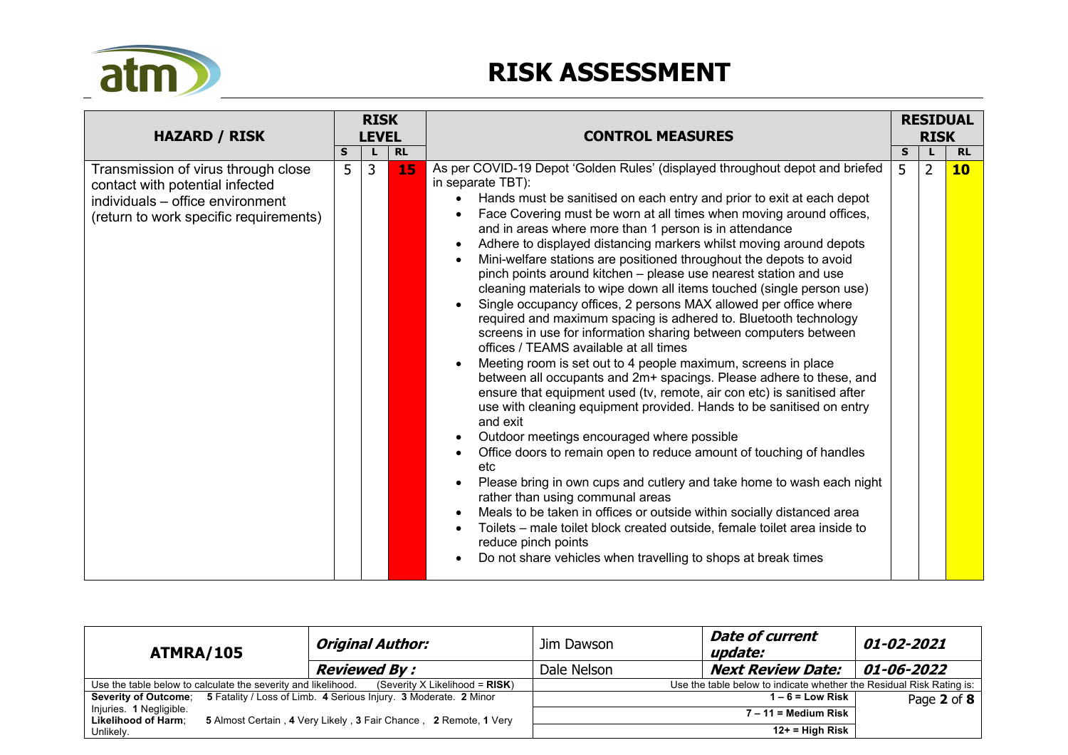

| <b>HAZARD / RISK</b>                                                                                                                                 |  | <b>RISK</b>                                    |                                                                                                                                                                                                                                                                                                                                                                                                                                                                                                                                                                                                                                                                                                                                                                                                                   | <b>CONTROL MEASURES</b>                                                                                                                                                                                                                                                                                                                                                                                                                                                                                                                                                                                                                                                                                                                                                                                                               |                | <b>RISK</b>     | <b>RESIDUAL</b> |
|------------------------------------------------------------------------------------------------------------------------------------------------------|--|------------------------------------------------|-------------------------------------------------------------------------------------------------------------------------------------------------------------------------------------------------------------------------------------------------------------------------------------------------------------------------------------------------------------------------------------------------------------------------------------------------------------------------------------------------------------------------------------------------------------------------------------------------------------------------------------------------------------------------------------------------------------------------------------------------------------------------------------------------------------------|---------------------------------------------------------------------------------------------------------------------------------------------------------------------------------------------------------------------------------------------------------------------------------------------------------------------------------------------------------------------------------------------------------------------------------------------------------------------------------------------------------------------------------------------------------------------------------------------------------------------------------------------------------------------------------------------------------------------------------------------------------------------------------------------------------------------------------------|----------------|-----------------|-----------------|
| Transmission of virus through close<br>contact with potential infected<br>individuals - office environment<br>(return to work specific requirements) |  | <b>LEVEL</b><br><b>RL</b><br>S<br>3<br>5<br>15 | As per COVID-19 Depot 'Golden Rules' (displayed throughout depot and briefed<br>in separate TBT):<br>Hands must be sanitised on each entry and prior to exit at each depot<br>Face Covering must be worn at all times when moving around offices,<br>and in areas where more than 1 person is in attendance<br>Adhere to displayed distancing markers whilst moving around depots<br>Mini-welfare stations are positioned throughout the depots to avoid<br>pinch points around kitchen - please use nearest station and use<br>cleaning materials to wipe down all items touched (single person use)<br>Single occupancy offices, 2 persons MAX allowed per office where<br>required and maximum spacing is adhered to. Bluetooth technology<br>screens in use for information sharing between computers between | <b>S</b><br>5                                                                                                                                                                                                                                                                                                                                                                                                                                                                                                                                                                                                                                                                                                                                                                                                                         | $\overline{2}$ | <b>RL</b><br>10 |                 |
|                                                                                                                                                      |  |                                                |                                                                                                                                                                                                                                                                                                                                                                                                                                                                                                                                                                                                                                                                                                                                                                                                                   | offices / TEAMS available at all times<br>Meeting room is set out to 4 people maximum, screens in place<br>between all occupants and 2m+ spacings. Please adhere to these, and<br>ensure that equipment used (tv, remote, air con etc) is sanitised after<br>use with cleaning equipment provided. Hands to be sanitised on entry<br>and exit<br>Outdoor meetings encouraged where possible<br>Office doors to remain open to reduce amount of touching of handles<br>etc<br>Please bring in own cups and cutlery and take home to wash each night<br>rather than using communal areas<br>Meals to be taken in offices or outside within socially distanced area<br>Toilets – male toilet block created outside, female toilet area inside to<br>reduce pinch points<br>Do not share vehicles when travelling to shops at break times |                |                 |                 |

| ATMRA/105                                                     | Original Author:                                                                      | Jim Dawson                                                           | <b>Date of current</b><br>update: | <i><b>01-02-2021</b></i> |  |  |
|---------------------------------------------------------------|---------------------------------------------------------------------------------------|----------------------------------------------------------------------|-----------------------------------|--------------------------|--|--|
|                                                               | <b>Reviewed By :</b>                                                                  | Dale Nelson                                                          | <b>Next Review Date:</b>          | <i><b>01-06-2022</b></i> |  |  |
| Use the table below to calculate the severity and likelihood. | (Severity X Likelihood = $RISK$ )                                                     | Use the table below to indicate whether the Residual Risk Rating is: |                                   |                          |  |  |
|                                                               | Severity of Outcome; 5 Fatality / Loss of Limb. 4 Serious Injury. 3 Moderate. 2 Minor |                                                                      | $1-6$ = Low Risk                  | Page 2 of 8              |  |  |
| Injuries. 1 Negligible.<br><b>Likelihood of Harm:</b>         | 5 Almost Certain, 4 Very Likely, 3 Fair Chance, 2 Remote, 1 Very                      | $7 - 11 =$ Medium Risk                                               |                                   |                          |  |  |
| Unlikely.                                                     |                                                                                       |                                                                      | $12+$ = High Risk                 |                          |  |  |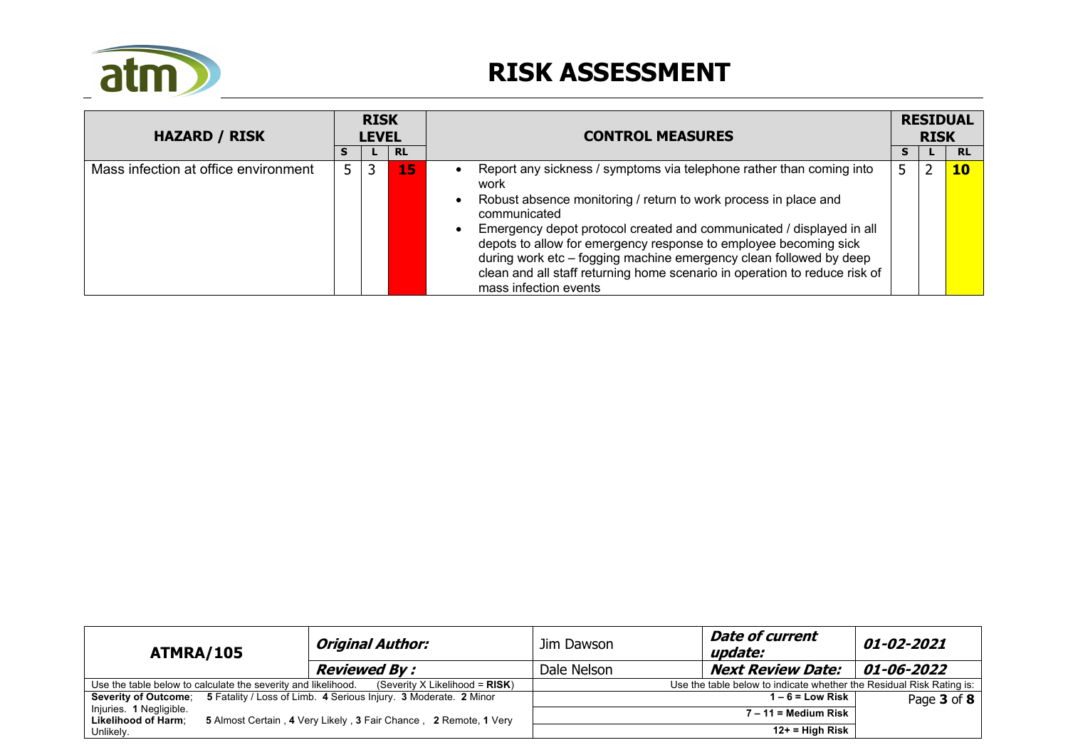

| <b>HAZARD / RISK</b>                 |   | <b>RISK</b><br><b>LEVEL</b> |           | <b>CONTROL MEASURES</b>                                                                                                                                                                                                                                                                                                                                                                                                                                                                  |  | <b>RESIDUAL</b><br><b>RISK</b> |           |  |
|--------------------------------------|---|-----------------------------|-----------|------------------------------------------------------------------------------------------------------------------------------------------------------------------------------------------------------------------------------------------------------------------------------------------------------------------------------------------------------------------------------------------------------------------------------------------------------------------------------------------|--|--------------------------------|-----------|--|
|                                      |   |                             | <b>RL</b> |                                                                                                                                                                                                                                                                                                                                                                                                                                                                                          |  |                                | <b>RL</b> |  |
| Mass infection at office environment | 5 | 3                           | 15        | Report any sickness / symptoms via telephone rather than coming into<br>work<br>Robust absence monitoring / return to work process in place and<br>communicated<br>Emergency depot protocol created and communicated / displayed in all<br>depots to allow for emergency response to employee becoming sick<br>during work etc - fogging machine emergency clean followed by deep<br>clean and all staff returning home scenario in operation to reduce risk of<br>mass infection events |  | 2                              | 10        |  |

| ATMRA/105                                                     |  | <b>Original Author:</b>                                                               | Jim Dawson                                                           | <b>Date of current</b><br>update: | <i><b>01-02-2021</b></i> |  |  |
|---------------------------------------------------------------|--|---------------------------------------------------------------------------------------|----------------------------------------------------------------------|-----------------------------------|--------------------------|--|--|
|                                                               |  | <b>Reviewed By:</b>                                                                   | Dale Nelson                                                          | <b>Next Review Date:</b>          | <i><b>01-06-2022</b></i> |  |  |
| Use the table below to calculate the severity and likelihood. |  | (Severity X Likelihood = $RISK$ )                                                     | Use the table below to indicate whether the Residual Risk Rating is: |                                   |                          |  |  |
|                                                               |  | Severity of Outcome: 5 Fatality / Loss of Limb. 4 Serious Injury. 3 Moderate. 2 Minor |                                                                      | $1 - 6 =$ Low Risk                | Page 3 of 8              |  |  |
| Injuries. 1 Negligible.<br><b>Likelihood of Harm:</b>         |  | 5 Almost Certain, 4 Very Likely, 3 Fair Chance, 2 Remote, 1 Very                      |                                                                      |                                   |                          |  |  |
| Unlikely.                                                     |  |                                                                                       |                                                                      | $12+$ = High Risk                 |                          |  |  |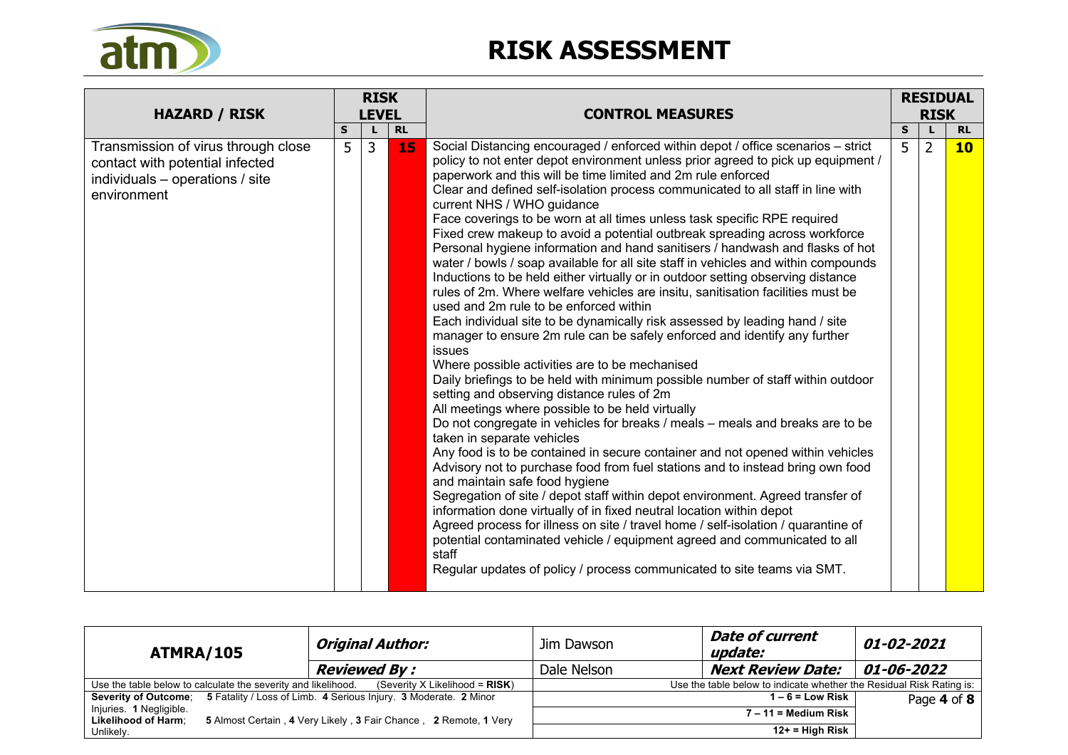

| <b>HAZARD / RISK</b>                                                                                                     |   | <b>RISK</b>  |           | <b>CONTROL MEASURES</b>                                                                                                                                                                                                                                                                                                                                                                                                                                                                                                                                                                                                                                                                                                                                                                                                                                                                                                                                                                                                                                                                                                                                                                                                                                                                                                                                                                                                                                                                                                                                                                                                                                                                                                                                                                                                                                                                                                                                                                                                                                  | <b>RESIDUAL</b><br><b>RISK</b> |                |           |
|--------------------------------------------------------------------------------------------------------------------------|---|--------------|-----------|----------------------------------------------------------------------------------------------------------------------------------------------------------------------------------------------------------------------------------------------------------------------------------------------------------------------------------------------------------------------------------------------------------------------------------------------------------------------------------------------------------------------------------------------------------------------------------------------------------------------------------------------------------------------------------------------------------------------------------------------------------------------------------------------------------------------------------------------------------------------------------------------------------------------------------------------------------------------------------------------------------------------------------------------------------------------------------------------------------------------------------------------------------------------------------------------------------------------------------------------------------------------------------------------------------------------------------------------------------------------------------------------------------------------------------------------------------------------------------------------------------------------------------------------------------------------------------------------------------------------------------------------------------------------------------------------------------------------------------------------------------------------------------------------------------------------------------------------------------------------------------------------------------------------------------------------------------------------------------------------------------------------------------------------------------|--------------------------------|----------------|-----------|
|                                                                                                                          | S | <b>LEVEL</b> | <b>RL</b> |                                                                                                                                                                                                                                                                                                                                                                                                                                                                                                                                                                                                                                                                                                                                                                                                                                                                                                                                                                                                                                                                                                                                                                                                                                                                                                                                                                                                                                                                                                                                                                                                                                                                                                                                                                                                                                                                                                                                                                                                                                                          | S                              |                | <b>RL</b> |
| Transmission of virus through close<br>contact with potential infected<br>individuals - operations / site<br>environment | 5 | 3            | 15        | Social Distancing encouraged / enforced within depot / office scenarios - strict<br>policy to not enter depot environment unless prior agreed to pick up equipment /<br>paperwork and this will be time limited and 2m rule enforced<br>Clear and defined self-isolation process communicated to all staff in line with<br>current NHS / WHO guidance<br>Face coverings to be worn at all times unless task specific RPE required<br>Fixed crew makeup to avoid a potential outbreak spreading across workforce<br>Personal hygiene information and hand sanitisers / handwash and flasks of hot<br>water / bowls / soap available for all site staff in vehicles and within compounds<br>Inductions to be held either virtually or in outdoor setting observing distance<br>rules of 2m. Where welfare vehicles are insitu, sanitisation facilities must be<br>used and 2m rule to be enforced within<br>Each individual site to be dynamically risk assessed by leading hand / site<br>manager to ensure 2m rule can be safely enforced and identify any further<br>issues<br>Where possible activities are to be mechanised<br>Daily briefings to be held with minimum possible number of staff within outdoor<br>setting and observing distance rules of 2m<br>All meetings where possible to be held virtually<br>Do not congregate in vehicles for breaks / meals - meals and breaks are to be<br>taken in separate vehicles<br>Any food is to be contained in secure container and not opened within vehicles<br>Advisory not to purchase food from fuel stations and to instead bring own food<br>and maintain safe food hygiene<br>Segregation of site / depot staff within depot environment. Agreed transfer of<br>information done virtually of in fixed neutral location within depot<br>Agreed process for illness on site / travel home / self-isolation / quarantine of<br>potential contaminated vehicle / equipment agreed and communicated to all<br>staff<br>Regular updates of policy / process communicated to site teams via SMT. | 5                              | $\overline{2}$ | 10        |

| ATMRA/105                                                     |  | <b>Original Author:</b>                                                               | Jim Dawson                                                           | <i><b>01-02-2021</b></i> |            |  |  |
|---------------------------------------------------------------|--|---------------------------------------------------------------------------------------|----------------------------------------------------------------------|--------------------------|------------|--|--|
|                                                               |  | <b>Reviewed By:</b>                                                                   | Dale Nelson                                                          | <b>Next Review Date:</b> | 01-06-2022 |  |  |
| Use the table below to calculate the severity and likelihood. |  | (Severity X Likelihood = $RISK$ )                                                     | Use the table below to indicate whether the Residual Risk Rating is: |                          |            |  |  |
|                                                               |  | Severity of Outcome; 5 Fatality / Loss of Limb. 4 Serious Injury. 3 Moderate. 2 Minor | $1 - 6 =$ Low Risk<br>Page 4 of 8<br>$7 - 11 =$ Medium Risk          |                          |            |  |  |
| Injuries. 1 Negligible.                                       |  |                                                                                       |                                                                      |                          |            |  |  |
| <b>Likelihood of Harm:</b>                                    |  | 5 Almost Certain, 4 Very Likely, 3 Fair Chance, 2 Remote, 1 Very                      |                                                                      |                          |            |  |  |
| Unlikely.                                                     |  |                                                                                       |                                                                      | $12+$ = High Risk        |            |  |  |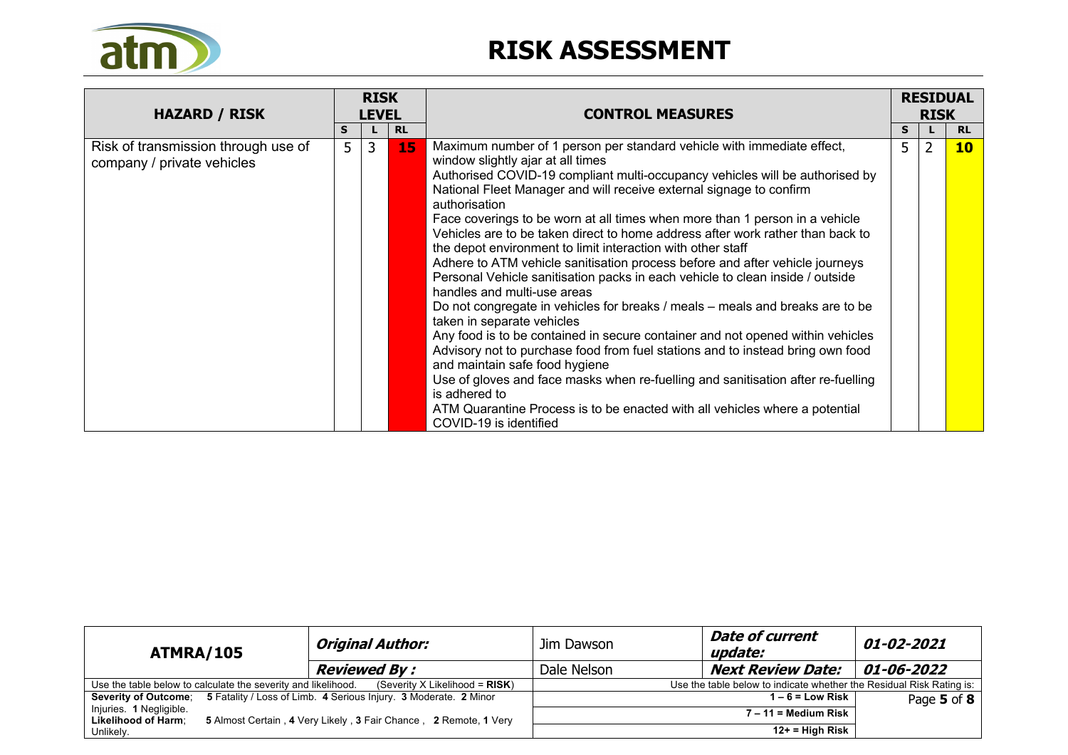

| <b>HAZARD / RISK</b>                                              |   | <b>RISK</b><br><b>LEVEL</b> |           | <b>CONTROL MEASURES</b>                                                                                                                                                                                                                                                                                                                                                                                                                                                                                                                                                                                                                                                                                                                                                                                                                                                                                                                                                                                                                                                                                                                                                                                                                                |   | <b>RESIDUAL</b><br><b>RISK</b> |           |
|-------------------------------------------------------------------|---|-----------------------------|-----------|--------------------------------------------------------------------------------------------------------------------------------------------------------------------------------------------------------------------------------------------------------------------------------------------------------------------------------------------------------------------------------------------------------------------------------------------------------------------------------------------------------------------------------------------------------------------------------------------------------------------------------------------------------------------------------------------------------------------------------------------------------------------------------------------------------------------------------------------------------------------------------------------------------------------------------------------------------------------------------------------------------------------------------------------------------------------------------------------------------------------------------------------------------------------------------------------------------------------------------------------------------|---|--------------------------------|-----------|
|                                                                   | S |                             | <b>RL</b> |                                                                                                                                                                                                                                                                                                                                                                                                                                                                                                                                                                                                                                                                                                                                                                                                                                                                                                                                                                                                                                                                                                                                                                                                                                                        | S |                                | <b>RL</b> |
| Risk of transmission through use of<br>company / private vehicles | 5 | 3                           | 15        | Maximum number of 1 person per standard vehicle with immediate effect,<br>window slightly ajar at all times<br>Authorised COVID-19 compliant multi-occupancy vehicles will be authorised by<br>National Fleet Manager and will receive external signage to confirm<br>authorisation<br>Face coverings to be worn at all times when more than 1 person in a vehicle<br>Vehicles are to be taken direct to home address after work rather than back to<br>the depot environment to limit interaction with other staff<br>Adhere to ATM vehicle sanitisation process before and after vehicle journeys<br>Personal Vehicle sanitisation packs in each vehicle to clean inside / outside<br>handles and multi-use areas<br>Do not congregate in vehicles for breaks / meals – meals and breaks are to be<br>taken in separate vehicles<br>Any food is to be contained in secure container and not opened within vehicles<br>Advisory not to purchase food from fuel stations and to instead bring own food<br>and maintain safe food hygiene<br>Use of gloves and face masks when re-fuelling and sanitisation after re-fuelling<br>is adhered to<br>ATM Quarantine Process is to be enacted with all vehicles where a potential<br>COVID-19 is identified | 5 | 2                              | 10        |

| ATMRA/105                                                     | <b>Original Author:</b>                                                               | Jim Dawson                                                           | <b>Date of current</b><br>update: | <i><b>01-02-2021</b></i> |  |  |
|---------------------------------------------------------------|---------------------------------------------------------------------------------------|----------------------------------------------------------------------|-----------------------------------|--------------------------|--|--|
|                                                               | <b>Reviewed By:</b>                                                                   | Dale Nelson                                                          | <b>Next Review Date:</b>          | <i><b>01-06-2022</b></i> |  |  |
| Use the table below to calculate the severity and likelihood. | (Severity X Likelihood = $RISK$ )                                                     | Use the table below to indicate whether the Residual Risk Rating is: |                                   |                          |  |  |
|                                                               | Severity of Outcome; 5 Fatality / Loss of Limb. 4 Serious Injury. 3 Moderate. 2 Minor |                                                                      | $1 - 6 =$ Low Risk                | Page 5 of 8              |  |  |
| Injuries. 1 Negligible.<br><b>Likelihood of Harm:</b>         | 5 Almost Certain, 4 Very Likely, 3 Fair Chance, 2 Remote, 1 Very                      |                                                                      | $7 - 11 =$ Medium Risk            |                          |  |  |
| Unlikely.                                                     |                                                                                       |                                                                      | $12+$ = High Risk                 |                          |  |  |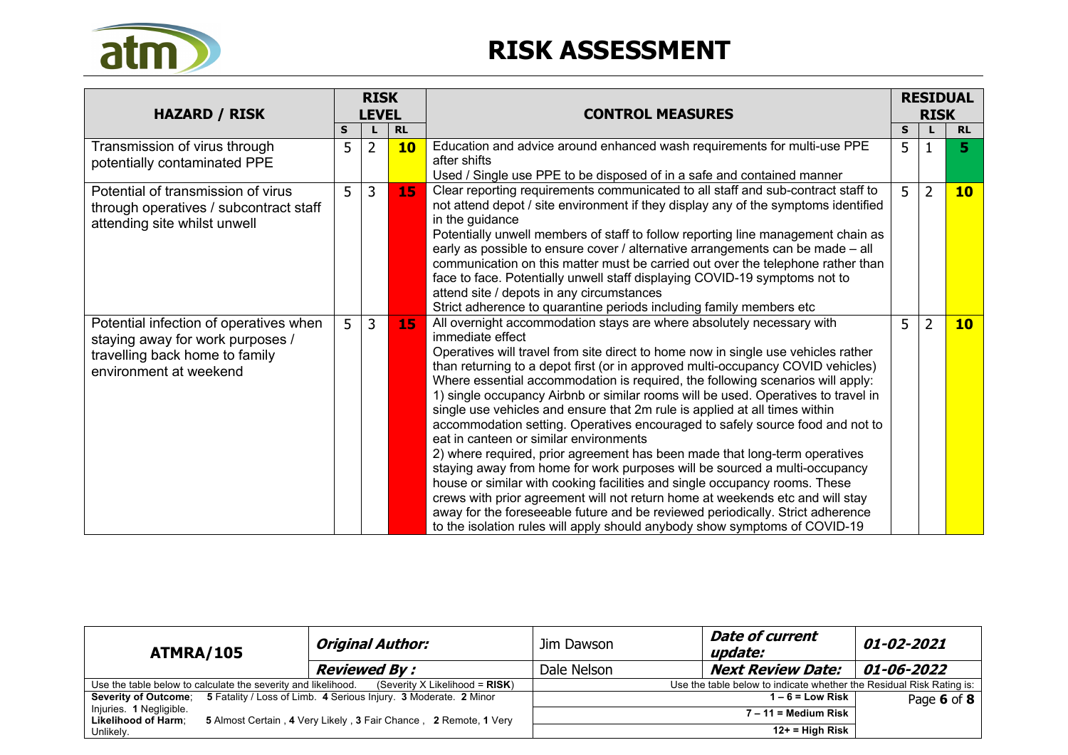

| <b>HAZARD / RISK</b>                                                                                                                   | <b>RISK</b><br><b>LEVEL</b> |                                                                                                                                                                                                                                                                                                                                                                                                                                                                                                                                                                                                                                                                              |           | <b>CONTROL MEASURES</b>                                                                                                                                                                                                                                                                                                                                                                                                                                                                                                                                                                                                                                                                                                                                                                                                                                                                                                                                                                                                                                                                                                                      |                | <b>RESIDUAL</b><br><b>RISK</b> |           |
|----------------------------------------------------------------------------------------------------------------------------------------|-----------------------------|------------------------------------------------------------------------------------------------------------------------------------------------------------------------------------------------------------------------------------------------------------------------------------------------------------------------------------------------------------------------------------------------------------------------------------------------------------------------------------------------------------------------------------------------------------------------------------------------------------------------------------------------------------------------------|-----------|----------------------------------------------------------------------------------------------------------------------------------------------------------------------------------------------------------------------------------------------------------------------------------------------------------------------------------------------------------------------------------------------------------------------------------------------------------------------------------------------------------------------------------------------------------------------------------------------------------------------------------------------------------------------------------------------------------------------------------------------------------------------------------------------------------------------------------------------------------------------------------------------------------------------------------------------------------------------------------------------------------------------------------------------------------------------------------------------------------------------------------------------|----------------|--------------------------------|-----------|
|                                                                                                                                        | S                           |                                                                                                                                                                                                                                                                                                                                                                                                                                                                                                                                                                                                                                                                              | <b>RL</b> |                                                                                                                                                                                                                                                                                                                                                                                                                                                                                                                                                                                                                                                                                                                                                                                                                                                                                                                                                                                                                                                                                                                                              | S              |                                | <b>RL</b> |
| Transmission of virus through<br>potentially contaminated PPE                                                                          | 5                           | $\overline{2}$                                                                                                                                                                                                                                                                                                                                                                                                                                                                                                                                                                                                                                                               | 10        | Education and advice around enhanced wash requirements for multi-use PPE<br>after shifts<br>Used / Single use PPE to be disposed of in a safe and contained manner                                                                                                                                                                                                                                                                                                                                                                                                                                                                                                                                                                                                                                                                                                                                                                                                                                                                                                                                                                           | 5              |                                | 5.        |
| Potential of transmission of virus<br>through operatives / subcontract staff<br>attending site whilst unwell                           | 5 <sup>1</sup>              | $\overline{3}$<br>Clear reporting requirements communicated to all staff and sub-contract staff to<br>15<br>not attend depot / site environment if they display any of the symptoms identified<br>in the guidance<br>Potentially unwell members of staff to follow reporting line management chain as<br>early as possible to ensure cover / alternative arrangements can be made - all<br>communication on this matter must be carried out over the telephone rather than<br>face to face. Potentially unwell staff displaying COVID-19 symptoms not to<br>attend site / depots in any circumstances<br>Strict adherence to quarantine periods including family members etc |           | 5                                                                                                                                                                                                                                                                                                                                                                                                                                                                                                                                                                                                                                                                                                                                                                                                                                                                                                                                                                                                                                                                                                                                            | $\overline{2}$ | 10                             |           |
| Potential infection of operatives when<br>staying away for work purposes /<br>travelling back home to family<br>environment at weekend | 5                           | $\mathbf{3}$                                                                                                                                                                                                                                                                                                                                                                                                                                                                                                                                                                                                                                                                 | 15        | All overnight accommodation stays are where absolutely necessary with<br>immediate effect<br>Operatives will travel from site direct to home now in single use vehicles rather<br>than returning to a depot first (or in approved multi-occupancy COVID vehicles)<br>Where essential accommodation is required, the following scenarios will apply:<br>1) single occupancy Airbnb or similar rooms will be used. Operatives to travel in<br>single use vehicles and ensure that 2m rule is applied at all times within<br>accommodation setting. Operatives encouraged to safely source food and not to<br>eat in canteen or similar environments<br>2) where required, prior agreement has been made that long-term operatives<br>staying away from home for work purposes will be sourced a multi-occupancy<br>house or similar with cooking facilities and single occupancy rooms. These<br>crews with prior agreement will not return home at weekends etc and will stay<br>away for the foreseeable future and be reviewed periodically. Strict adherence<br>to the isolation rules will apply should anybody show symptoms of COVID-19 | 5              | $\overline{2}$                 | 10        |

| ATMRA/105                                                     |  | <b>Original Author:</b>                                                               | Jim Dawson                                                           | <i><b>01-02-2021</b></i> |            |  |  |
|---------------------------------------------------------------|--|---------------------------------------------------------------------------------------|----------------------------------------------------------------------|--------------------------|------------|--|--|
|                                                               |  | <b>Reviewed By:</b>                                                                   | Dale Nelson                                                          | <b>Next Review Date:</b> | 01-06-2022 |  |  |
| Use the table below to calculate the severity and likelihood. |  | (Severity X Likelihood = $RISK$ )                                                     | Use the table below to indicate whether the Residual Risk Rating is: |                          |            |  |  |
|                                                               |  | Severity of Outcome: 5 Fatality / Loss of Limb. 4 Serious Injury. 3 Moderate. 2 Minor | $1 - 6 =$ Low Risk<br>Page 6 of 8<br>$7 - 11 =$ Medium Risk          |                          |            |  |  |
| Injuries. 1 Negligible.<br><b>Likelihood of Harm;</b>         |  | 5 Almost Certain, 4 Very Likely, 3 Fair Chance, 2 Remote, 1 Very                      |                                                                      |                          |            |  |  |
| Unlikely.                                                     |  |                                                                                       |                                                                      | $12+$ = High Risk        |            |  |  |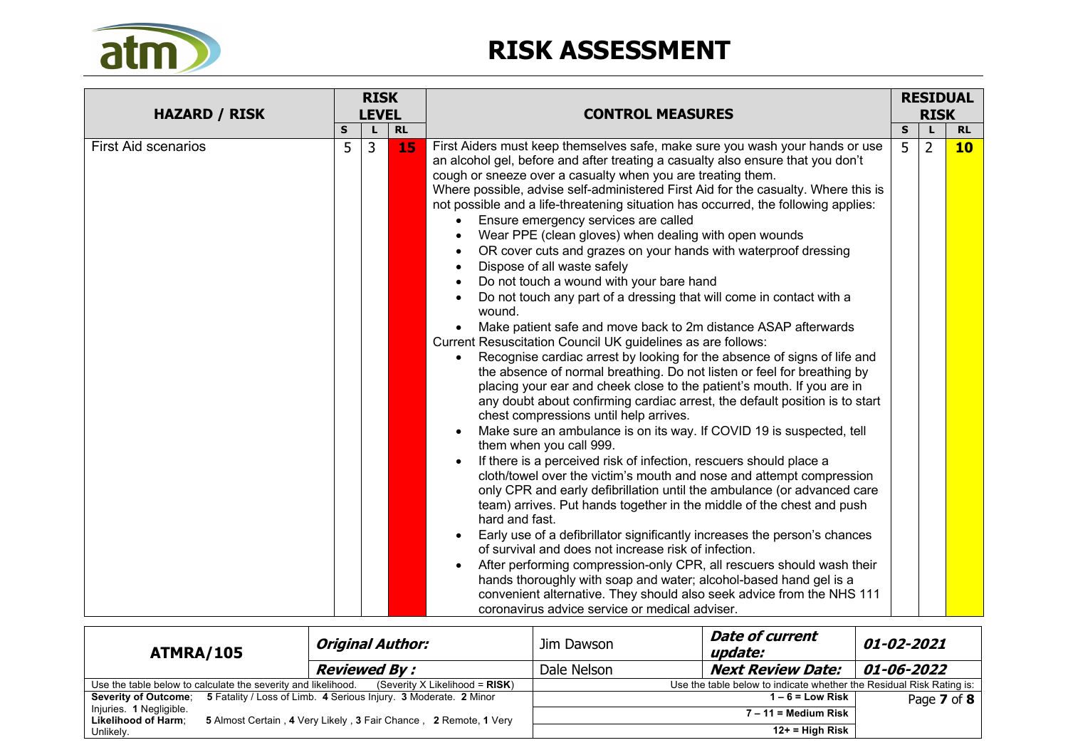

| <b>HAZARD / RISK</b>       |   | <b>RISK</b><br><b>LEVEL</b> |           | <b>CONTROL MEASURES</b>                                                                                                                                                                                                                                                                                                                                                                                                                                                                                                                                                                                                                                                                                                                                                                                                                                                                                                                                                                                                                                                                                                                                                                                                                                                                                                                                                                                                                                                                                                                                                                                                                                                                                                                                                                                                                                                                                                                                                                                                                                                     |   | <b>RESIDUAL</b><br><b>RISK</b> |                 |  |
|----------------------------|---|-----------------------------|-----------|-----------------------------------------------------------------------------------------------------------------------------------------------------------------------------------------------------------------------------------------------------------------------------------------------------------------------------------------------------------------------------------------------------------------------------------------------------------------------------------------------------------------------------------------------------------------------------------------------------------------------------------------------------------------------------------------------------------------------------------------------------------------------------------------------------------------------------------------------------------------------------------------------------------------------------------------------------------------------------------------------------------------------------------------------------------------------------------------------------------------------------------------------------------------------------------------------------------------------------------------------------------------------------------------------------------------------------------------------------------------------------------------------------------------------------------------------------------------------------------------------------------------------------------------------------------------------------------------------------------------------------------------------------------------------------------------------------------------------------------------------------------------------------------------------------------------------------------------------------------------------------------------------------------------------------------------------------------------------------------------------------------------------------------------------------------------------------|---|--------------------------------|-----------------|--|
|                            | S |                             | <b>RL</b> |                                                                                                                                                                                                                                                                                                                                                                                                                                                                                                                                                                                                                                                                                                                                                                                                                                                                                                                                                                                                                                                                                                                                                                                                                                                                                                                                                                                                                                                                                                                                                                                                                                                                                                                                                                                                                                                                                                                                                                                                                                                                             |   |                                | <b>RL</b>       |  |
| <b>First Aid scenarios</b> | 5 | 3                           | 15        | First Aiders must keep themselves safe, make sure you wash your hands or use<br>an alcohol gel, before and after treating a casualty also ensure that you don't<br>cough or sneeze over a casualty when you are treating them.<br>Where possible, advise self-administered First Aid for the casualty. Where this is<br>not possible and a life-threatening situation has occurred, the following applies:<br>Ensure emergency services are called<br>Wear PPE (clean gloves) when dealing with open wounds<br>OR cover cuts and grazes on your hands with waterproof dressing<br>Dispose of all waste safely<br>Do not touch a wound with your bare hand<br>Do not touch any part of a dressing that will come in contact with a<br>wound.<br>Make patient safe and move back to 2m distance ASAP afterwards<br>Current Resuscitation Council UK guidelines as are follows:<br>Recognise cardiac arrest by looking for the absence of signs of life and<br>the absence of normal breathing. Do not listen or feel for breathing by<br>placing your ear and cheek close to the patient's mouth. If you are in<br>any doubt about confirming cardiac arrest, the default position is to start<br>chest compressions until help arrives.<br>Make sure an ambulance is on its way. If COVID 19 is suspected, tell<br>them when you call 999.<br>If there is a perceived risk of infection, rescuers should place a<br>cloth/towel over the victim's mouth and nose and attempt compression<br>only CPR and early defibrillation until the ambulance (or advanced care<br>team) arrives. Put hands together in the middle of the chest and push<br>hard and fast.<br>Early use of a defibrillator significantly increases the person's chances<br>of survival and does not increase risk of infection.<br>After performing compression-only CPR, all rescuers should wash their<br>hands thoroughly with soap and water; alcohol-based hand gel is a<br>convenient alternative. They should also seek advice from the NHS 111<br>coronavirus advice service or medical adviser. | 5 | $\overline{2}$                 | 10 <sub>1</sub> |  |

| ATMRA/105                                                     |  | Original Author:                                                                      | Jim Dawson                                                           | <b>Date of current</b><br>update: | 01-02-2021         |  |  |
|---------------------------------------------------------------|--|---------------------------------------------------------------------------------------|----------------------------------------------------------------------|-----------------------------------|--------------------|--|--|
|                                                               |  | <b>Reviewed By :</b>                                                                  | Dale Nelson                                                          | <b>Next Review Date:</b>          | $ 01 - 06 - 2022 $ |  |  |
| Use the table below to calculate the severity and likelihood. |  | (Severity X Likelihood = $RISK$ )                                                     | Use the table below to indicate whether the Residual Risk Rating is: |                                   |                    |  |  |
|                                                               |  | Severity of Outcome; 5 Fatality / Loss of Limb. 4 Serious Injury. 3 Moderate. 2 Minor |                                                                      | $1 - 6 =$ Low Risk                | Page 7 of 8        |  |  |
| Injuries. 1 Negligible.                                       |  |                                                                                       | $7 - 11 =$ Medium Risk                                               |                                   |                    |  |  |
| <b>Likelihood of Harm:</b>                                    |  | 5 Almost Certain, 4 Very Likely, 3 Fair Chance, 2 Remote, 1 Very                      |                                                                      |                                   |                    |  |  |
| Unlikely.                                                     |  |                                                                                       |                                                                      | $12+$ = High Risk                 |                    |  |  |